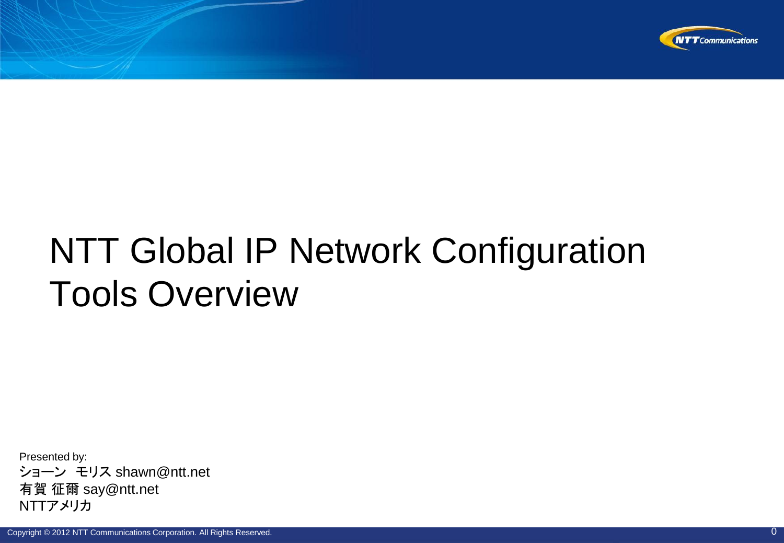

### NTT Global IP Network Configuration Tools Overview

Presented by: ショーン モリス shawn@ntt.net 有賀 征爾 say@ntt.net NTTアメリカ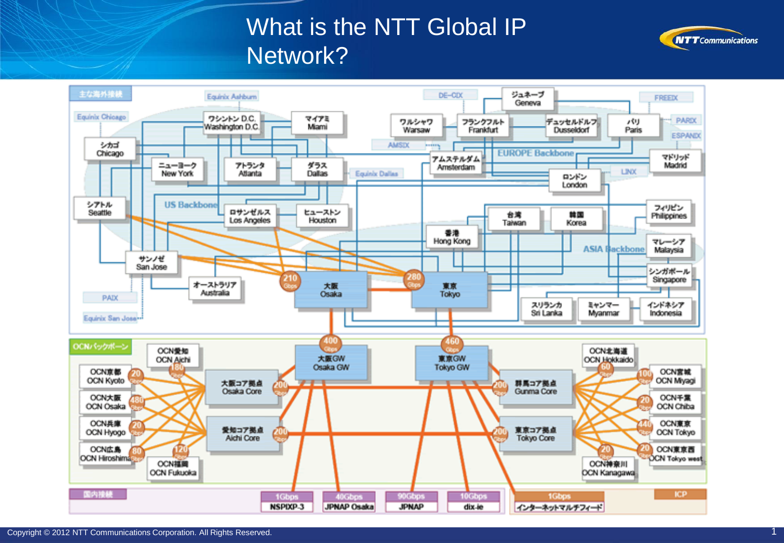#### What is the NTT Global IP Network?



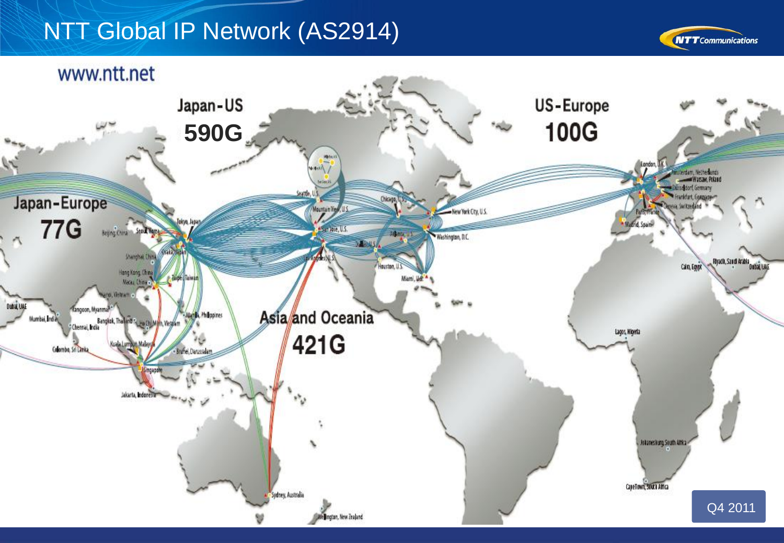#### NTT Global IP Network (AS2914)



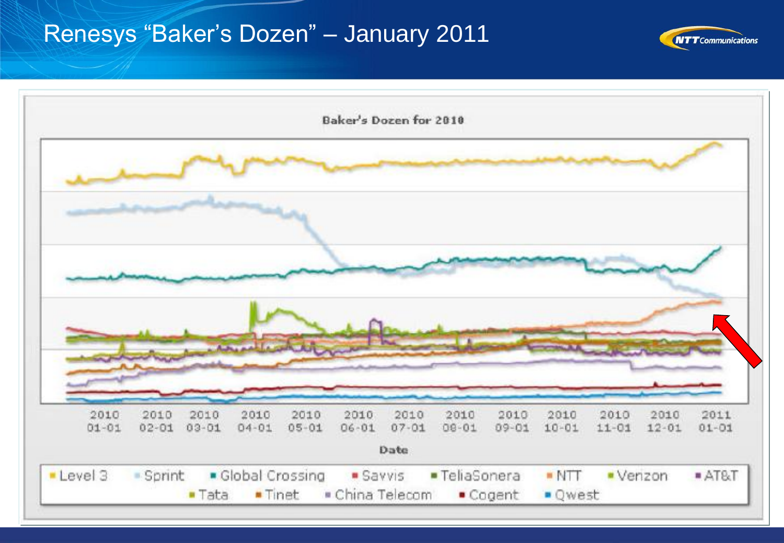#### Renesys "Baker's Dozen" - January 2011



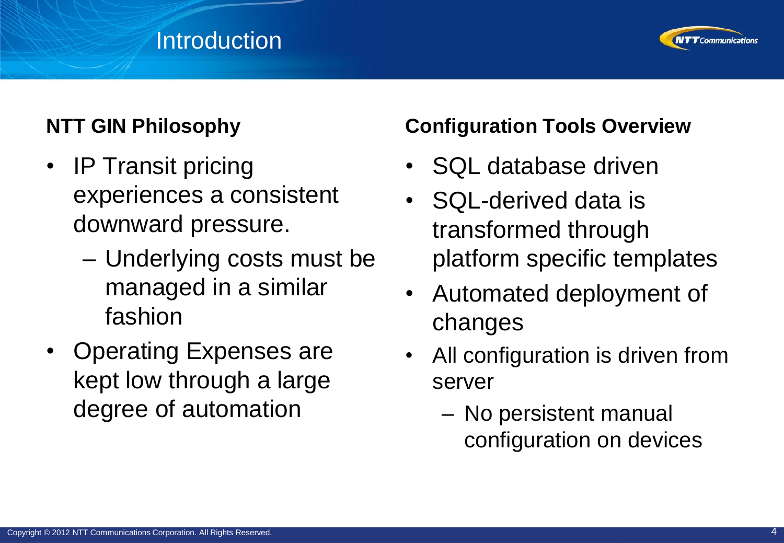#### **Introduction**



#### **NTT GIN Philosophy**

- IP Transit pricing experiences a consistent downward pressure.
	- Underlying costs must be managed in a similar fashion
- Operating Expenses are kept low through a large degree of automation

#### **Configuration Tools Overview**

- SQL database driven
- SQL-derived data is transformed through platform specific templates
- Automated deployment of changes
- All configuration is driven from server
	- No persistent manual configuration on devices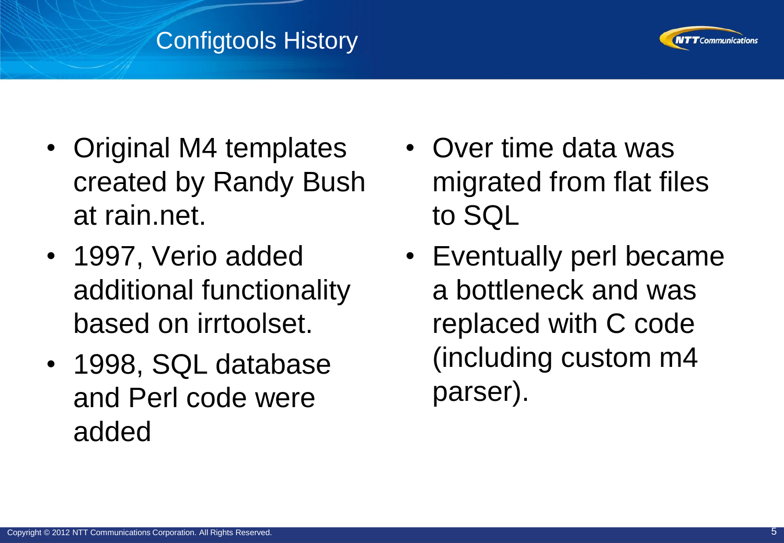#### Configtools History



- Original M4 templates created by Randy Bush at rain.net.
- 1997, Verio added additional functionality based on irrtoolset.
- 1998, SQL database and Perl code were added
- Over time data was migrated from flat files to SQL
- Eventually perl became a bottleneck and was replaced with C code (including custom m4 parser).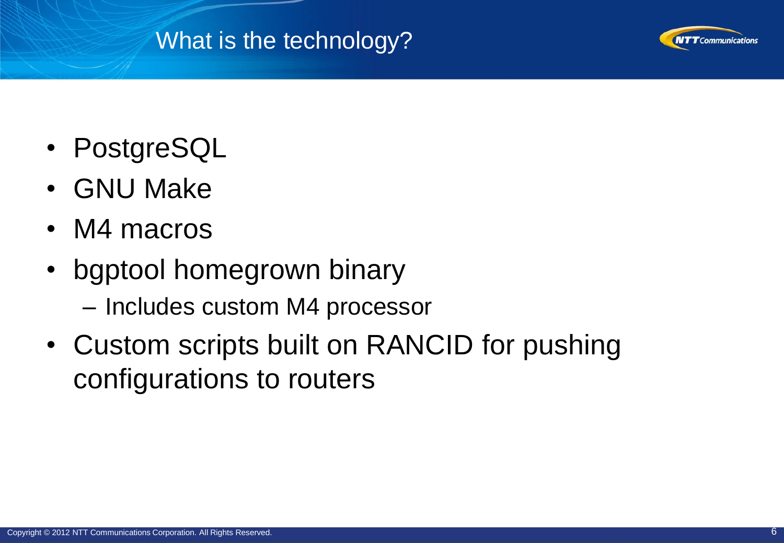#### What is the technology?



- PostgreSQL
- GNU Make
- M4 macros
- bgptool homegrown binary
	- Includes custom M4 processor
- Custom scripts built on RANCID for pushing configurations to routers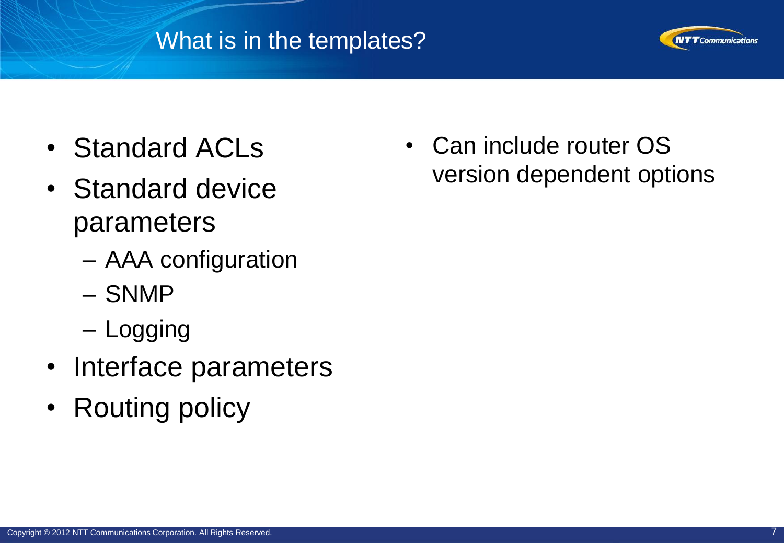#### What is in the templates?



- Standard ACLs
- Standard device parameters
	- AAA configuration
	- SNMP
	- Logging
- Interface parameters
- Routing policy

• Can include router OS version dependent options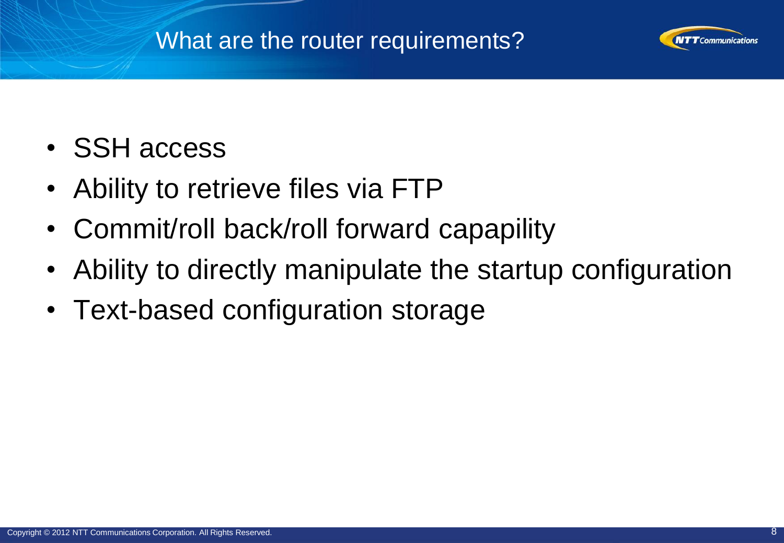#### What are the router requirements?



- SSH access
- Ability to retrieve files via FTP
- Commit/roll back/roll forward capapility
- Ability to directly manipulate the startup configuration
- Text-based configuration storage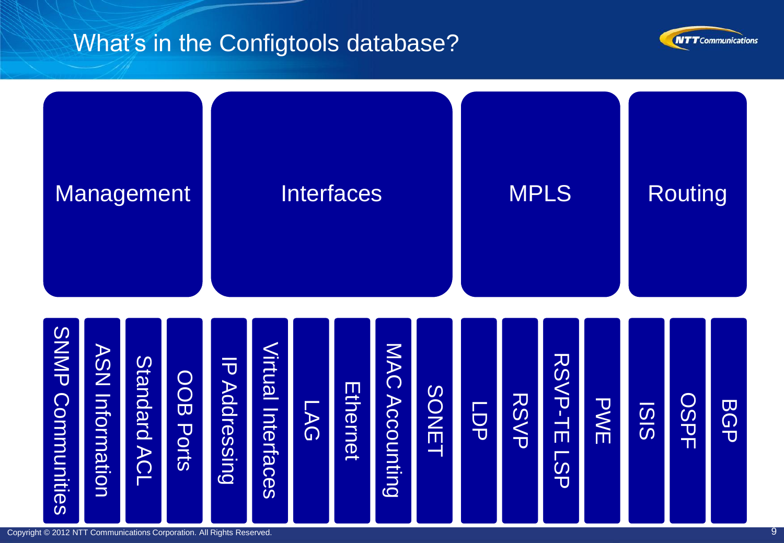#### What's in the Configtools database?





Copyright © 2012 NTT Communications Corporation. All Rights Reserved. 9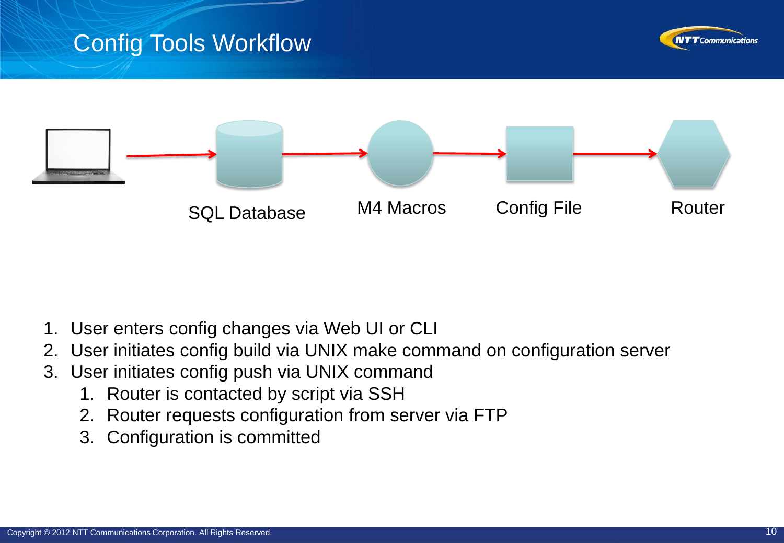#### Config Tools Workflow





- 1. User enters config changes via Web UI or CLI
- 2. User initiates config build via UNIX make command on configuration server
- 3. User initiates config push via UNIX command
	- 1. Router is contacted by script via SSH
	- 2. Router requests configuration from server via FTP
	- 3. Configuration is committed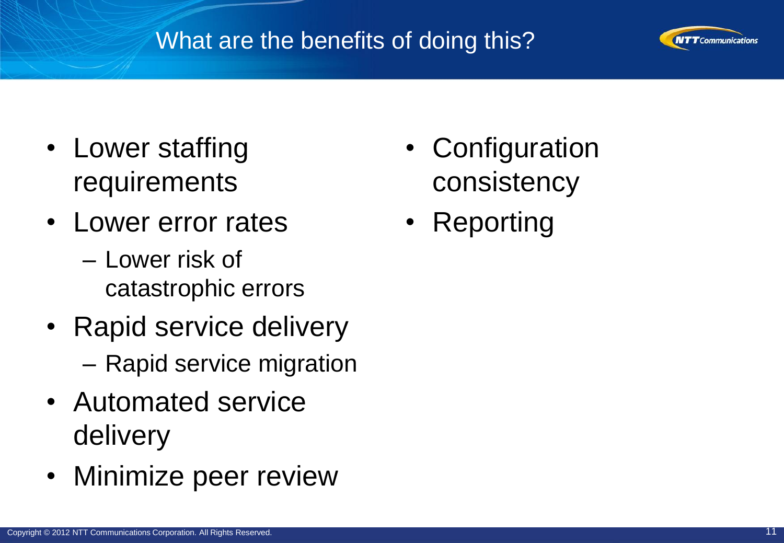#### What are the benefits of doing this?



- Lower staffing requirements
- Lower error rates
	- Lower risk of catastrophic errors
- Rapid service delivery – Rapid service migration
- Automated service delivery
- Minimize peer review
- Configuration consistency
- Reporting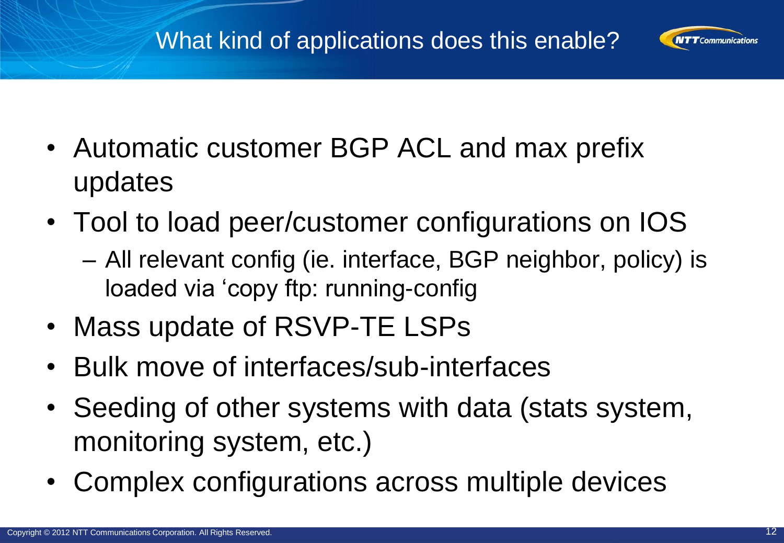#### What kind of applications does this enable?



- Automatic customer BGP ACL and max prefix updates
- Tool to load peer/customer configurations on IOS
	- All relevant config (ie. interface, BGP neighbor, policy) is loaded via 'copy ftp: running-config
- Mass update of RSVP-TE LSPs
- Bulk move of interfaces/sub-interfaces
- Seeding of other systems with data (stats system, monitoring system, etc.)
- Complex configurations across multiple devices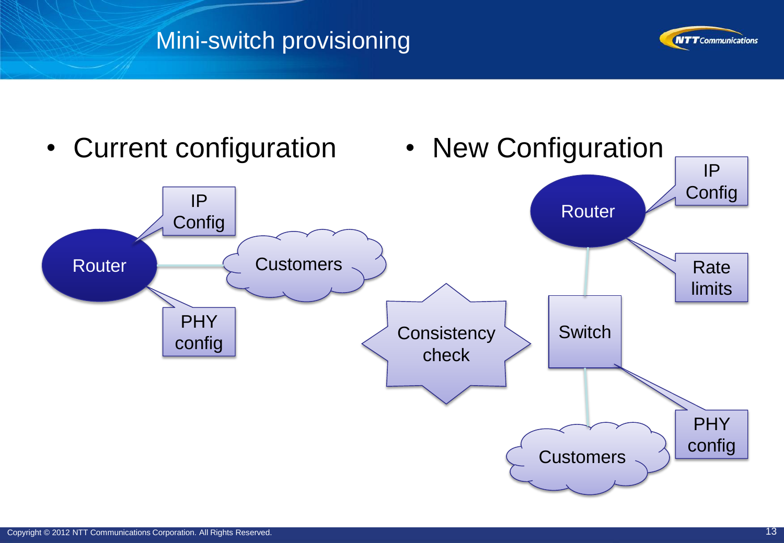#### Mini-switch provisioning



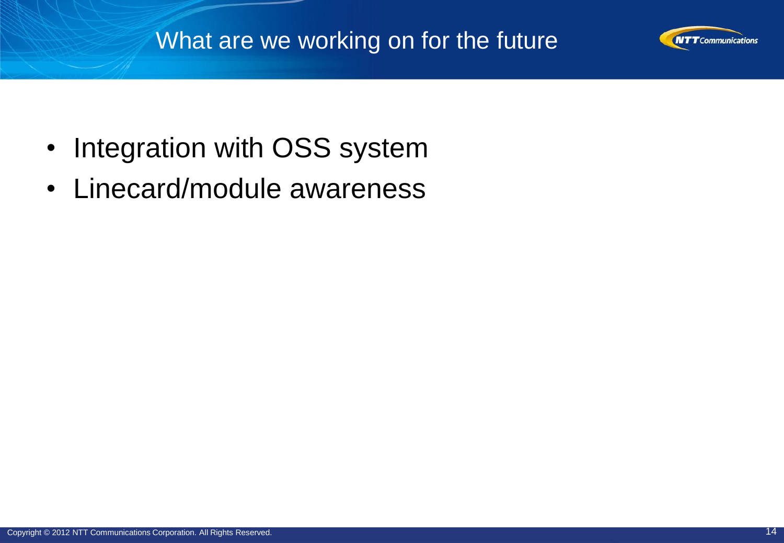#### What are we working on for the future



• Linecard/module awareness

**NTT** Communications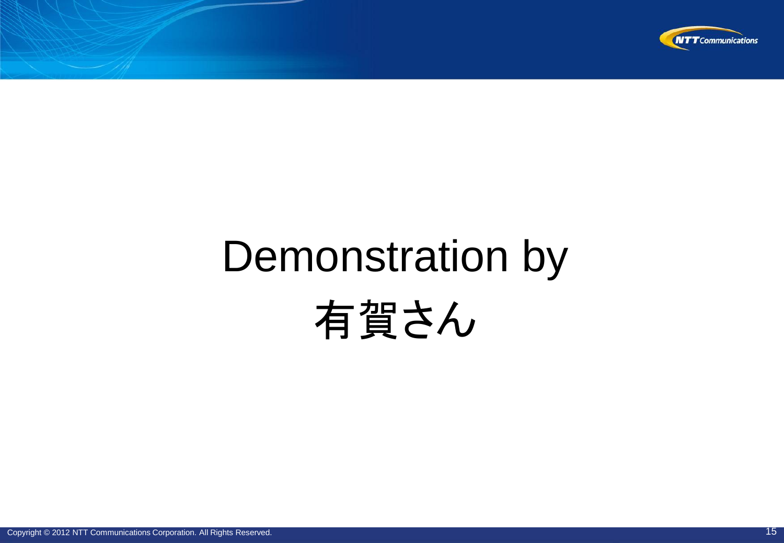

# Demonstration by 有賀さん